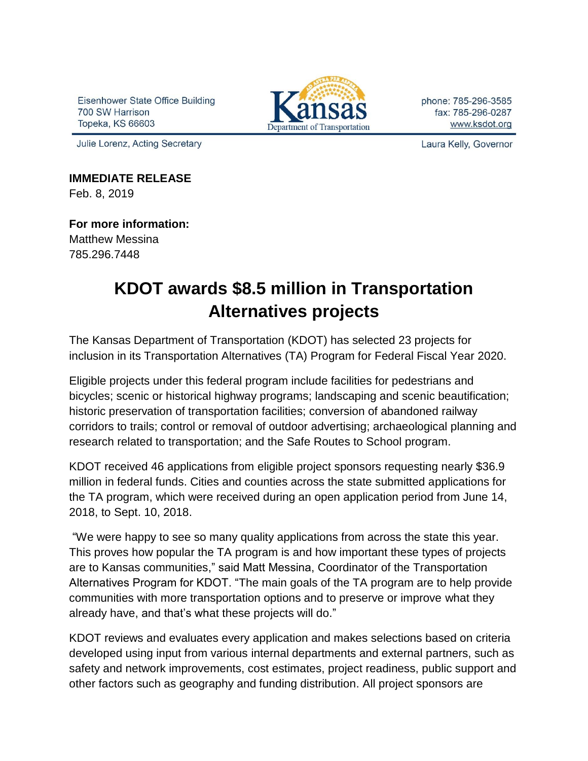Eisenhower State Office Building 700 SW Harrison Topeka, KS 66603



phone: 785-296-3585 fax: 785-296-0287 www.ksdot.org

Julie Lorenz, Acting Secretary

Laura Kelly, Governor

**IMMEDIATE RELEASE** Feb. 8, 2019

**For more information:** Matthew Messina 785.296.7448

## **KDOT awards \$8.5 million in Transportation Alternatives projects**

The Kansas Department of Transportation (KDOT) has selected 23 projects for inclusion in its Transportation Alternatives (TA) Program for Federal Fiscal Year 2020.

Eligible projects under this federal program include facilities for pedestrians and bicycles; scenic or historical highway programs; landscaping and scenic beautification; historic preservation of transportation facilities; conversion of abandoned railway corridors to trails; control or removal of outdoor advertising; archaeological planning and research related to transportation; and the Safe Routes to School program.

KDOT received 46 applications from eligible project sponsors requesting nearly \$36.9 million in federal funds. Cities and counties across the state submitted applications for the TA program, which were received during an open application period from June 14, 2018, to Sept. 10, 2018.

"We were happy to see so many quality applications from across the state this year. This proves how popular the TA program is and how important these types of projects are to Kansas communities," said Matt Messina, Coordinator of the Transportation Alternatives Program for KDOT. "The main goals of the TA program are to help provide communities with more transportation options and to preserve or improve what they already have, and that's what these projects will do."

KDOT reviews and evaluates every application and makes selections based on criteria developed using input from various internal departments and external partners, such as safety and network improvements, cost estimates, project readiness, public support and other factors such as geography and funding distribution. All project sponsors are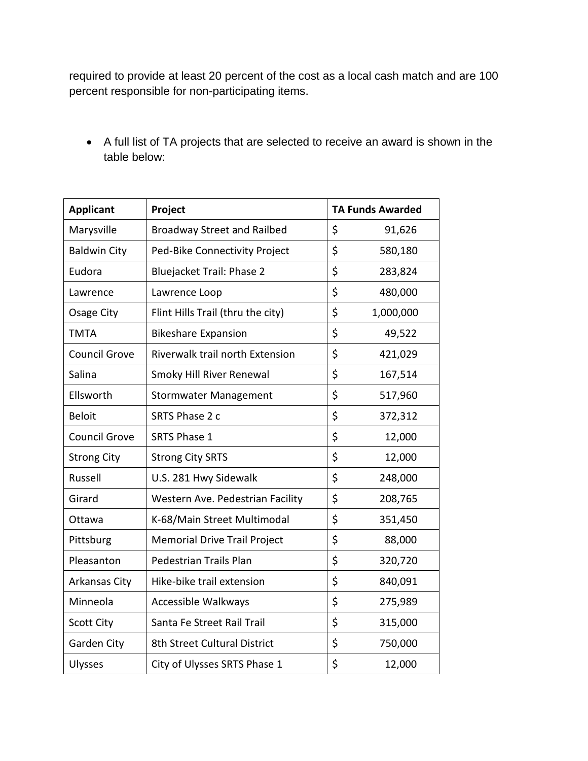required to provide at least 20 percent of the cost as a local cash match and are 100 percent responsible for non-participating items.

| <b>Applicant</b>     | Project                             | <b>TA Funds Awarded</b> |  |  |
|----------------------|-------------------------------------|-------------------------|--|--|
| Marysville           | <b>Broadway Street and Railbed</b>  | \$<br>91,626            |  |  |
| <b>Baldwin City</b>  | Ped-Bike Connectivity Project       | \$<br>580,180           |  |  |
| Eudora               | <b>Bluejacket Trail: Phase 2</b>    | \$<br>283,824           |  |  |
| Lawrence             | Lawrence Loop                       | \$<br>480,000           |  |  |
| Osage City           | Flint Hills Trail (thru the city)   | \$<br>1,000,000         |  |  |
| <b>TMTA</b>          | <b>Bikeshare Expansion</b>          | \$<br>49,522            |  |  |
| <b>Council Grove</b> | Riverwalk trail north Extension     | \$<br>421,029           |  |  |
| Salina               | Smoky Hill River Renewal            | \$<br>167,514           |  |  |
| Ellsworth            | <b>Stormwater Management</b>        | \$<br>517,960           |  |  |
| <b>Beloit</b>        | SRTS Phase 2 c                      | \$<br>372,312           |  |  |
| <b>Council Grove</b> | <b>SRTS Phase 1</b>                 | \$<br>12,000            |  |  |
| <b>Strong City</b>   | <b>Strong City SRTS</b>             | \$<br>12,000            |  |  |
| Russell              | U.S. 281 Hwy Sidewalk               | \$<br>248,000           |  |  |
| Girard               | Western Ave. Pedestrian Facility    | \$<br>208,765           |  |  |
| Ottawa               | K-68/Main Street Multimodal         | \$<br>351,450           |  |  |
| Pittsburg            | <b>Memorial Drive Trail Project</b> | \$<br>88,000            |  |  |
| Pleasanton           | <b>Pedestrian Trails Plan</b>       | \$<br>320,720           |  |  |
| Arkansas City        | Hike-bike trail extension           | \$<br>840,091           |  |  |
| Minneola             | Accessible Walkways                 | \$<br>275,989           |  |  |
| <b>Scott City</b>    | Santa Fe Street Rail Trail          | \$<br>315,000           |  |  |
| Garden City          | 8th Street Cultural District        | \$<br>750,000           |  |  |
| Ulysses              | City of Ulysses SRTS Phase 1        | \$<br>12,000            |  |  |

• A full list of TA projects that are selected to receive an award is shown in the table below: